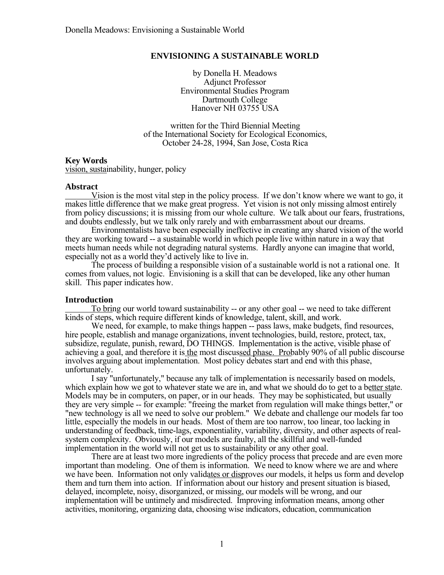#### **ENVISIONING A SUSTAINABLE WORLD**

by Donella H. Meadows Adjunct Professor Environmental Studies Program Dartmouth College Hanover NH 03755 USA

written for the Third Biennial Meeting of the International Society for Ecological Economics, October 24-28, 1994, San Jose, Costa Rica

# **Key Words**

vision, sustainability, hunger, policy

#### **Abstract**

Vision is the most vital step in the policy process. If we don't know where we want to go, it makes little difference that we make great progress. Yet vision is not only missing almost entirely from policy discussions; it is missing from our whole culture. We talk about our fears, frustrations, and doubts endlessly, but we talk only rarely and with embarrassment about our dreams.

Environmentalists have been especially ineffective in creating any shared vision of the world they are working toward -- a sustainable world in which people live within nature in a way that meets human needs while not degrading natural systems. Hardly anyone can imagine that world, especially not as a world they'd actively like to live in.

The process of building a responsible vision of a sustainable world is not a rational one. It comes from values, not logic. Envisioning is a skill that can be developed, like any other human skill. This paper indicates how.

## **Introduction**

To bring our world toward sustainability -- or any other goal -- we need to take different kinds of steps, which require different kinds of knowledge, talent, skill, and work.

We need, for example, to make things happen -- pass laws, make budgets, find resources, hire people, establish and manage organizations, invent technologies, build, restore, protect, tax, subsidize, regulate, punish, reward, DO THINGS. Implementation is the active, visible phase of achieving a goal, and therefore it is the most discussed phase. Probably 90% of all public discourse involves arguing about implementation. Most policy debates start and end with this phase, unfortunately.

I say "unfortunately," because any talk of implementation is necessarily based on models, which explain how we got to whatever state we are in, and what we should do to get to a better state. Models may be in computers, on paper, or in our heads. They may be sophisticated, but usually they are very simple -- for example: "freeing the market from regulation will make things better," or "new technology is all we need to solve our problem." We debate and challenge our models far too little, especially the models in our heads. Most of them are too narrow, too linear, too lacking in understanding of feedback, time-lags, exponentiality, variability, diversity, and other aspects of realsystem complexity. Obviously, if our models are faulty, all the skillful and well-funded implementation in the world will not get us to sustainability or any other goal.

There are at least two more ingredients of the policy process that precede and are even more important than modeling. One of them is information. We need to know where we are and where we have been. Information not only validates or disproves our models, it helps us form and develop them and turn them into action. If information about our history and present situation is biased, delayed, incomplete, noisy, disorganized, or missing, our models will be wrong, and our implementation will be untimely and misdirected. Improving information means, among other activities, monitoring, organizing data, choosing wise indicators, education, communication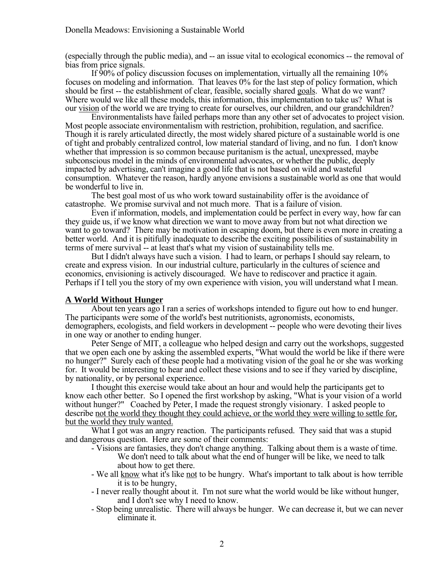(especially through the public media), and -- an issue vital to ecological economics -- the removal of bias from price signals.

If 90% of policy discussion focuses on implementation, virtually all the remaining 10% focuses on modeling and information. That leaves 0% for the last step of policy formation, which should be first -- the establishment of clear, feasible, socially shared goals. What do we want? Where would we like all these models, this information, this implementation to take us? What is our vision of the world we are trying to create for ourselves, our children, and our grandchildren?

Environmentalists have failed perhaps more than any other set of advocates to project vision. Most people associate environmentalism with restriction, prohibition, regulation, and sacrifice. Though it is rarely articulated directly, the most widely shared picture of a sustainable world is one of tight and probably centralized control, low material standard of living, and no fun. I don't know whether that impression is so common because puritanism is the actual, unexpressed, maybe subconscious model in the minds of environmental advocates, or whether the public, deeply impacted by advertising, can't imagine a good life that is not based on wild and wasteful consumption. Whatever the reason, hardly anyone envisions a sustainable world as one that would be wonderful to live in.

The best goal most of us who work toward sustainability offer is the avoidance of catastrophe. We promise survival and not much more. That is a failure of vision.

Even if information, models, and implementation could be perfect in every way, how far can they guide us, if we know what direction we want to move away from but not what direction we want to go toward? There may be motivation in escaping doom, but there is even more in creating a better world. And it is pitifully inadequate to describe the exciting possibilities of sustainability in terms of mere survival -- at least that's what my vision of sustainability tells me.

But I didn't always have such a vision. I had to learn, or perhaps I should say relearn, to create and express vision. In our industrial culture, particularly in the cultures of science and economics, envisioning is actively discouraged. We have to rediscover and practice it again. Perhaps if I tell you the story of my own experience with vision, you will understand what I mean.

#### **A World Without Hunger**

About ten years ago I ran a series of workshops intended to figure out how to end hunger. The participants were some of the world's best nutritionists, agronomists, economists, demographers, ecologists, and field workers in development -- people who were devoting their lives in one way or another to ending hunger.

Peter Senge of MIT, a colleague who helped design and carry out the workshops, suggested that we open each one by asking the assembled experts, "What would the world be like if there were no hunger?" Surely each of these people had a motivating vision of the goal he or she was working for. It would be interesting to hear and collect these visions and to see if they varied by discipline, by nationality, or by personal experience.

I thought this exercise would take about an hour and would help the participants get to know each other better. So I opened the first workshop by asking, "What is your vision of a world without hunger?" Coached by Peter, I made the request strongly visionary. I asked people to describe not the world they thought they could achieve, or the world they were willing to settle for, but the world they truly wanted.

What I got was an angry reaction. The participants refused. They said that was a stupid and dangerous question. Here are some of their comments:

- Visions are fantasies, they don't change anything. Talking about them is a waste of time. We don't need to talk about what the end of hunger will be like, we need to talk about how to get there.
- We all know what it's like not to be hungry. What's important to talk about is how terrible it is to be hungry,
- I never really thought about it. I'm not sure what the world would be like without hunger, and I don't see why I need to know.
- Stop being unrealistic. There will always be hunger. We can decrease it, but we can never eliminate it.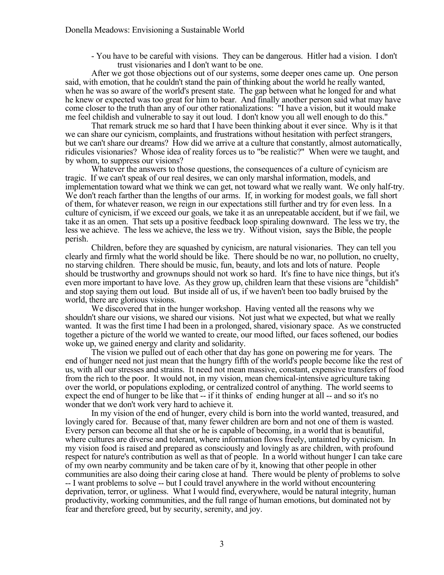- You have to be careful with visions. They can be dangerous. Hitler had a vision. I don't trust visionaries and I don't want to be one.

After we got those objections out of our systems, some deeper ones came up. One person said, with emotion, that he couldn't stand the pain of thinking about the world he really wanted, when he was so aware of the world's present state. The gap between what he longed for and what he knew or expected was too great for him to bear. And finally another person said what may have come closer to the truth than any of our other rationalizations: "I have a vision, but it would make me feel childish and vulnerable to say it out loud. I don't know you all well enough to do this."

That remark struck me so hard that I have been thinking about it ever since. Why is it that we can share our cynicism, complaints, and frustrations without hesitation with perfect strangers, but we can't share our dreams? How did we arrive at a culture that constantly, almost automatically, ridicules visionaries? Whose idea of reality forces us to "be realistic?" When were we taught, and by whom, to suppress our visions?

Whatever the answers to those questions, the consequences of a culture of cynicism are tragic. If we can't speak of our real desires, we can only marshal information, models, and implementation toward what we think we can get, not toward what we really want. We only half-try. We don't reach farther than the lengths of our arms. If, in working for modest goals, we fall short of them, for whatever reason, we reign in our expectations still further and try for even less. In a culture of cynicism, if we exceed our goals, we take it as an unrepeatable accident, but if we fail, we take it as an omen. That sets up a positive feedback loop spiraling downward. The less we try, the less we achieve. The less we achieve, the less we try. Without vision, says the Bible, the people perish.

Children, before they are squashed by cynicism, are natural visionaries. They can tell you clearly and firmly what the world should be like. There should be no war, no pollution, no cruelty, no starving children. There should be music, fun, beauty, and lots and lots of nature. People should be trustworthy and grownups should not work so hard. It's fine to have nice things, but it's even more important to have love. As they grow up, children learn that these visions are "childish" and stop saying them out loud. But inside all of us, if we haven't been too badly bruised by the world, there are glorious visions.

We discovered that in the hunger workshop. Having vented all the reasons why we shouldn't share our visions, we shared our visions. Not just what we expected, but what we really wanted. It was the first time I had been in a prolonged, shared, visionary space. As we constructed together a picture of the world we wanted to create, our mood lifted, our faces softened, our bodies woke up, we gained energy and clarity and solidarity.

The vision we pulled out of each other that day has gone on powering me for years. The end of hunger need not just mean that the hungry fifth of the world's people become like the rest of us, with all our stresses and strains. It need not mean massive, constant, expensive transfers of food from the rich to the poor. It would not, in my vision, mean chemical-intensive agriculture taking over the world, or populations exploding, or centralized control of anything. The world seems to expect the end of hunger to be like that -- if it thinks of ending hunger at all -- and so it's no wonder that we don't work very hard to achieve it.

In my vision of the end of hunger, every child is born into the world wanted, treasured, and lovingly cared for. Because of that, many fewer children are born and not one of them is wasted. Every person can become all that she or he is capable of becoming, in a world that is beautiful, where cultures are diverse and tolerant, where information flows freely, untainted by cynicism. In my vision food is raised and prepared as consciously and lovingly as are children, with profound respect for nature's contribution as well as that of people. In a world without hunger I can take care of my own nearby community and be taken care of by it, knowing that other people in other communities are also doing their caring close at hand. There would be plenty of problems to solve -- I want problems to solve -- but I could travel anywhere in the world without encountering deprivation, terror, or ugliness. What I would find, everywhere, would be natural integrity, human productivity, working communities, and the full range of human emotions, but dominated not by fear and therefore greed, but by security, serenity, and joy.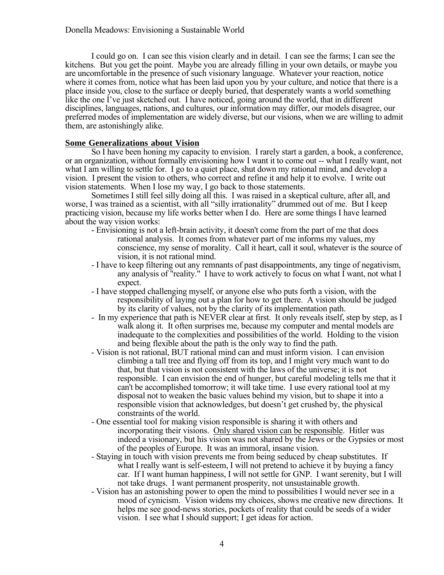I could go on. I can see this vision clearly and in detail. I can see the farms; I can see the kitchens. But you get the point. Maybe you are already filling in your own details, or maybe you are uncomfortable in the presence of such visionary language. Whatever your reaction, notice where it comes from, notice what has been laid upon you by your culture, and notice that there is a place inside you, close to the surface or deeply buried, that desperately wants a world something like the one I've just sketched out. I have noticed, going around the world, that in different disciplines, languages, nations, and cultures, our information may differ, our models disagree, our preferred modes of implementation are widely diverse, but our visions, when we are willing to admit them, are astonishingly alike.

## **Some Generalizations about Vision**

So I have been honing my capacity to envision. I rarely start a garden, a book, a conference, or an organization, without formally envisioning how I want it to come out -- what I really want, not what I am willing to settle for. I go to a quiet place, shut down my rational mind, and develop a vision. I present the vision to others, who correct and refine it and help it to evolve. I write out vision statements. When I lose my way, I go back to those statements.

Sometimes I still feel silly doing all this. I was raised in a skeptical culture, after all, and worse, I was trained as a scientist, with all "silly irrationality" drummed out of me. But I keep practicing vision, because my life works better when I do. Here are some things I have learned about the way vision works:

- Envisioning is not a left-brain activity, it doesn't come from the part of me that does rational analysis. It comes from whatever part of me informs my values, my conscience, my sense of morality. Call it heart, call it soul, whatever is the source of vision, it is not rational mind.
- I have to keep filtering out any remnants of past disappointments, any tinge of negativism, any analysis of "reality." I have to work actively to focus on what I want, not what I expect.
- I have stopped challenging myself, or anyone else who puts forth a vision, with the responsibility of laying out a plan for how to get there. A vision should be judged by its clarity of values, not by the clarity of its implementation path.
- In my experience that path is NEVER clear at first. It only reveals itself, step by step, as I walk along it. It often surprises me, because my computer and mental models are inadequate to the complexities and possibilities of the world. Holding to the vision and being flexible about the path is the only way to find the path.
- Vision is not rational, BUT rational mind can and must inform vision. I can envision climbing a tall tree and flying off from its top, and I might very much want to do that, but that vision is not consistent with the laws of the universe; it is not responsible. I can envision the end of hunger, but careful modeling tells me that it can't be accomplished tomorrow; it will take time. I use every rational tool at my disposal not to weaken the basic values behind my vision, but to shape it into a responsible vision that acknowledges, but doesn't get crushed by, the physical constraints of the world.
- One essential tool for making vision responsible is sharing it with others and incorporating their visions. Only shared vision can be responsible. Hitler was indeed a visionary, but his vision was not shared by the Jews or the Gypsies or most of the peoples of Europe. It was an immoral, insane vision.
- Staying in touch with vision prevents me from being seduced by cheap substitutes. If what I really want is self-esteem, I will not pretend to achieve it by buying a fancy car. If I want human happiness, I will not settle for GNP. I want serenity, but I will not take drugs. I want permanent prosperity, not unsustainable growth.
- Vision has an astonishing power to open the mind to possibilities I would never see in a mood of cynicism. Vision widens my choices, shows me creative new directions. It helps me see good-news stories, pockets of reality that could be seeds of a wider vision. I see what I should support; I get ideas for action.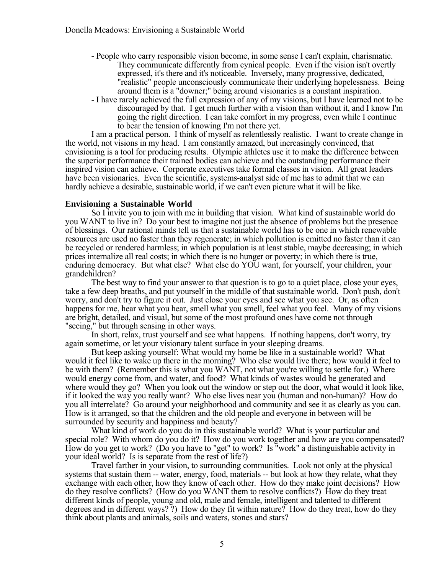- People who carry responsible vision become, in some sense I can't explain, charismatic. They communicate differently from cynical people. Even if the vision isn't overtly expressed, it's there and it's noticeable. Inversely, many progressive, dedicated, "realistic" people unconsciously communicate their underlying hopelessness. Being around them is a "downer;" being around visionaries is a constant inspiration.
- I have rarely achieved the full expression of any of my visions, but I have learned not to be discouraged by that. I get much further with a vision than without it, and I know I'm going the right direction. I can take comfort in my progress, even while I continue to bear the tension of knowing I'm not there yet.

I am a practical person. I think of myself as relentlessly realistic. I want to create change in the world, not visions in my head. I am constantly amazed, but increasingly convinced, that envisioning is a tool for producing results. Olympic athletes use it to make the difference between the superior performance their trained bodies can achieve and the outstanding performance their inspired vision can achieve. Corporate executives take formal classes in vision. All great leaders have been visionaries. Even the scientific, systems-analyst side of me has to admit that we can hardly achieve a desirable, sustainable world, if we can't even picture what it will be like.

### **Envisioning a Sustainable World**

So I invite you to join with me in building that vision. What kind of sustainable world do you WANT to live in? Do your best to imagine not just the absence of problems but the presence of blessings. Our rational minds tell us that a sustainable world has to be one in which renewable resources are used no faster than they regenerate; in which pollution is emitted no faster than it can be recycled or rendered harmless; in which population is at least stable, maybe decreasing; in which prices internalize all real costs; in which there is no hunger or poverty; in which there is true, enduring democracy. But what else? What else do YOU want, for yourself, your children, your grandchildren?

The best way to find your answer to that question is to go to a quiet place, close your eyes, take a few deep breaths, and put yourself in the middle of that sustainable world. Don't push, don't worry, and don't try to figure it out. Just close your eyes and see what you see. Or, as often happens for me, hear what you hear, smell what you smell, feel what you feel. Many of my visions are bright, detailed, and visual, but some of the most profound ones have come not through "seeing," but through sensing in other ways.

In short, relax, trust yourself and see what happens. If nothing happens, don't worry, try again sometime, or let your visionary talent surface in your sleeping dreams.

But keep asking yourself: What would my home be like in a sustainable world? What would it feel like to wake up there in the morning? Who else would live there; how would it feel to be with them? (Remember this is what you WANT, not what you're willing to settle for.) Where would energy come from, and water, and food? What kinds of wastes would be generated and where would they go? When you look out the window or step out the door, what would it look like, if it looked the way you really want? Who else lives near you (human and non-human)? How do you all interrelate? Go around your neighborhood and community and see it as clearly as you can. How is it arranged, so that the children and the old people and everyone in between will be surrounded by security and happiness and beauty?

What kind of work do you do in this sustainable world? What is your particular and special role? With whom do you do it? How do you work together and how are you compensated? How do you get to work? (Do you have to "get" to work? Is "work" a distinguishable activity in your ideal world? Is is separate from the rest of life?)

Travel farther in your vision, to surrounding communities. Look not only at the physical systems that sustain them -- water, energy, food, materials -- but look at how they relate, what they exchange with each other, how they know of each other. How do they make joint decisions? How do they resolve conflicts? (How do you WANT them to resolve conflicts?) How do they treat different kinds of people, young and old, male and female, intelligent and talented to different degrees and in different ways? ?) How do they fit within nature? How do they treat, how do they think about plants and animals, soils and waters, stones and stars?